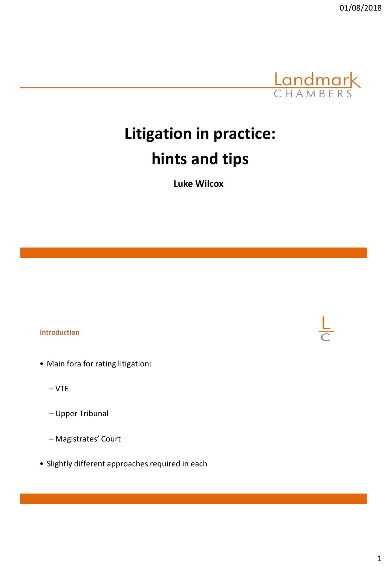

# **Litigation in practice: hints and tips**

**Luke Wilcox**

# **Introduction**

- Main fora for rating litigation:
	- VTE
	- Upper Tribunal
	- Magistrates' Court
- Slightly different approaches required in each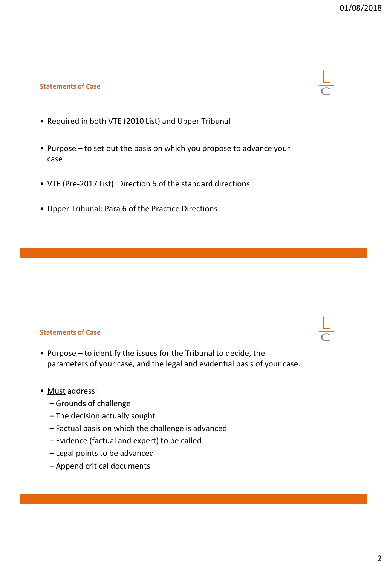# **Statements of Case**

- Required in both VTE (2010 List) and Upper Tribunal
- Purpose to set out the basis on which you propose to advance your case
- VTE (Pre-2017 List): Direction 6 of the standard directions
- Upper Tribunal: Para 6 of the Practice Directions

# **Statements of Case**

• Purpose – to identify the issues for the Tribunal to decide, the parameters of your case, and the legal and evidential basis of your case.

# • Must address:

- Grounds of challenge
- The decision actually sought
- Factual basis on which the challenge is advanced
- Evidence (factual and expert) to be called
- Legal points to be advanced
- Append critical documents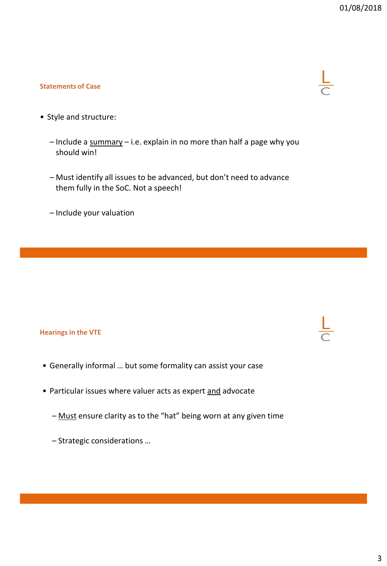# **Statements of Case**



- Style and structure:
	- $-$  Include a summary  $-$  i.e. explain in no more than half a page why you should win!
	- Must identify all issues to be advanced, but don't need to advance them fully in the SoC. Not a speech!
	- Include your valuation

#### **Hearings in the VTE**

- Generally informal … but some formality can assist your case
- Particular issues where valuer acts as expert and advocate
	- Must ensure clarity as to the "hat" being worn at any given time
	- Strategic considerations …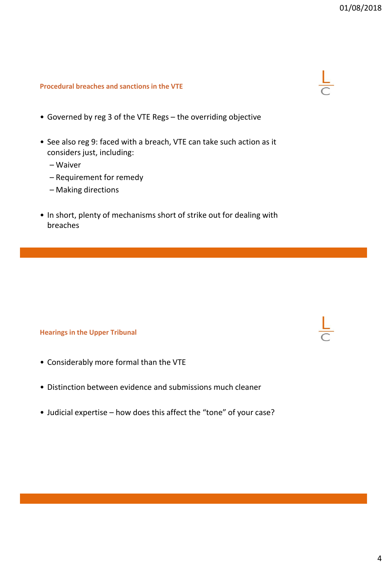# **Procedural breaches and sanctions in the VTE**

- Governed by reg 3 of the VTE Regs the overriding objective
- See also reg 9: faced with a breach, VTE can take such action as it considers just, including:
	- Waiver
	- Requirement for remedy
	- Making directions
- In short, plenty of mechanisms short of strike out for dealing with breaches

#### **Hearings in the Upper Tribunal**

- Considerably more formal than the VTE
- Distinction between evidence and submissions much cleaner
- Judicial expertise how does this affect the "tone" of your case?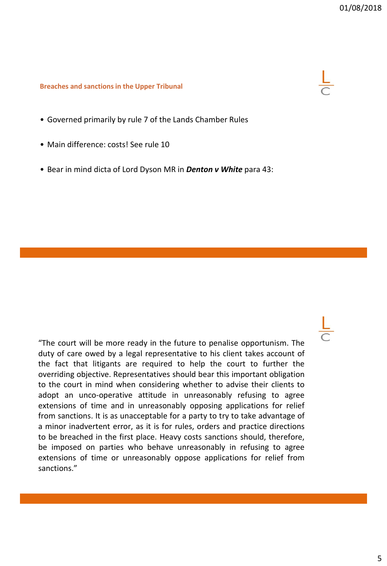#### **Breaches and sanctions in the Upper Tribunal**

- Governed primarily by rule 7 of the Lands Chamber Rules
- Main difference: costs! See rule 10
- Bear in mind dicta of Lord Dyson MR in *Denton v White* para 43:

"The court will be more ready in the future to penalise opportunism. The duty of care owed by a legal representative to his client takes account of the fact that litigants are required to help the court to further the overriding objective. Representatives should bear this important obligation to the court in mind when considering whether to advise their clients to adopt an unco-operative attitude in unreasonably refusing to agree extensions of time and in unreasonably opposing applications for relief from sanctions. It is as unacceptable for a party to try to take advantage of a minor inadvertent error, as it is for rules, orders and practice directions to be breached in the first place. Heavy costs sanctions should, therefore, be imposed on parties who behave unreasonably in refusing to agree extensions of time or unreasonably oppose applications for relief from sanctions."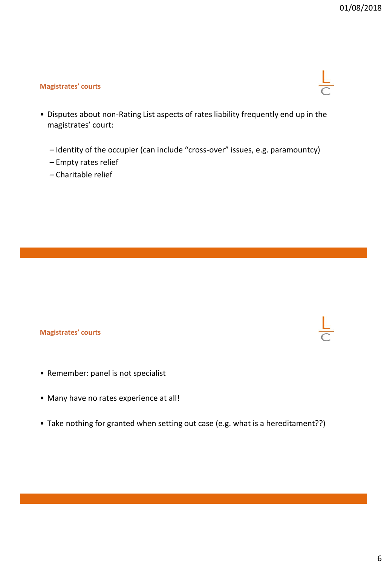# **Magistrates' courts**

- Disputes about non-Rating List aspects of rates liability frequently end up in the magistrates' court:
	- Identity of the occupier (can include "cross-over" issues, e.g. paramountcy)
	- Empty rates relief
	- Charitable relief

# **Magistrates' courts**

- Remember: panel is not specialist
- Many have no rates experience at all!
- Take nothing for granted when setting out case (e.g. what is a hereditament??)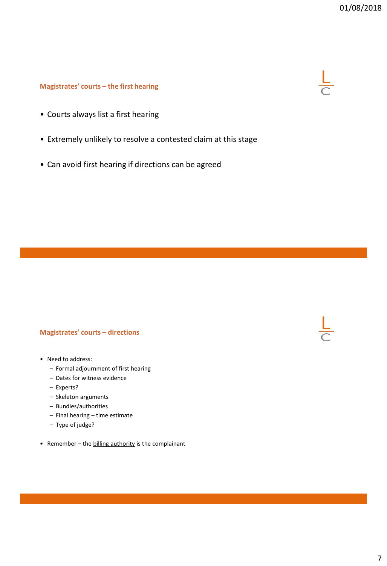# **Magistrates' courts – the first hearing**

- Courts always list a first hearing
- Extremely unlikely to resolve a contested claim at this stage
- Can avoid first hearing if directions can be agreed

## **Magistrates' courts – directions**

- Need to address:
	- Formal adjournment of first hearing
	- Dates for witness evidence
	- Experts?
	- Skeleton arguments
	- Bundles/authorities
	- Final hearing time estimate
	- Type of judge?
- Remember the billing authority is the complainant

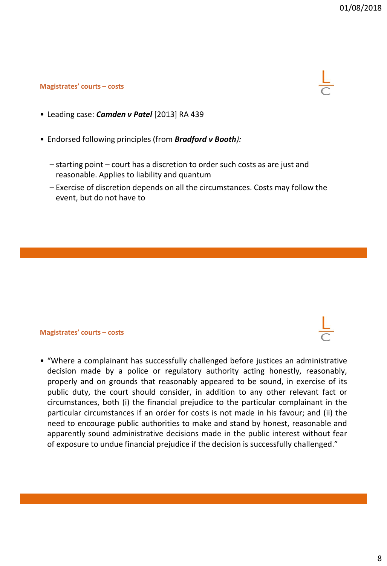## **Magistrates' courts – costs**



- Leading case: *Camden v Patel* [2013] RA 439
- Endorsed following principles (from *Bradford v Booth):*
	- starting point court has a discretion to order such costs as are just and reasonable. Applies to liability and quantum
	- Exercise of discretion depends on all the circumstances. Costs may follow the event, but do not have to

#### **Magistrates' courts – costs**

• "Where a complainant has successfully challenged before justices an administrative decision made by a police or regulatory authority acting honestly, reasonably, properly and on grounds that reasonably appeared to be sound, in exercise of its public duty, the court should consider, in addition to any other relevant fact or circumstances, both (i) the financial prejudice to the particular complainant in the particular circumstances if an order for costs is not made in his favour; and (ii) the need to encourage public authorities to make and stand by honest, reasonable and apparently sound administrative decisions made in the public interest without fear of exposure to undue financial prejudice if the decision is successfully challenged."